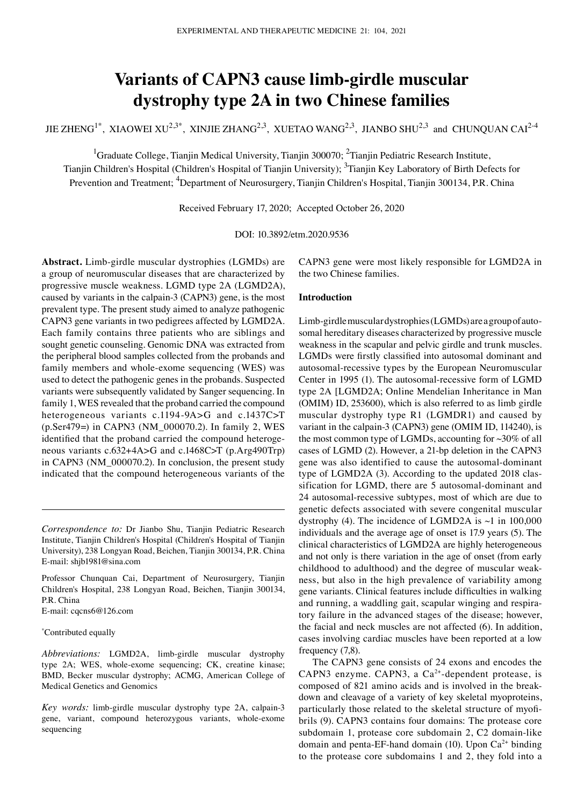# **Variants of CAPN3 cause limb‑girdle muscular dystrophy type 2A in two Chinese families**

JIE ZHENG<sup>1\*</sup>, XIAOWEI XU<sup>2,3\*</sup>, XINJIE ZHANG<sup>2,3</sup>, XUETAO WANG<sup>2,3</sup>, JIANBO SHU<sup>2,3</sup> and CHUNQUAN CAI<sup>2-4</sup>

<sup>1</sup>Graduate College, Tianjin Medical University, Tianjin 300070; <sup>2</sup>Tianjin Pediatric Research Institute,

Tianjin Children's Hospital (Children's Hospital of Tianjin University); <sup>3</sup>Tianjin Key Laboratory of Birth Defects for Prevention and Treatment; <sup>4</sup>Department of Neurosurgery, Tianjin Children's Hospital, Tianjin 300134, P.R. China

Received February 17, 2020; Accepted October 26, 2020

DOI: 10.3892/etm.2020.9536

**Abstract.** Limb‑girdle muscular dystrophies (LGMDs) are a group of neuromuscular diseases that are characterized by progressive muscle weakness. LGMD type 2A (LGMD2A), caused by variants in the calpain‑3 (CAPN3) gene, is the most prevalent type. The present study aimed to analyze pathogenic CAPN3 gene variants in two pedigrees affected by LGMD2A. Each family contains three patients who are siblings and sought genetic counseling. Genomic DNA was extracted from the peripheral blood samples collected from the probands and family members and whole-exome sequencing (WES) was used to detect the pathogenic genes in the probands. Suspected variants were subsequently validated by Sanger sequencing. In family 1, WES revealed that the proband carried the compound heterogeneous variants c.1194‑9A>G and c.1437C>T (p.Ser479=) in CAPN3 (NM\_000070.2). In family 2, WES identified that the proband carried the compound heterogeneous variants c.632+4A>G and c.1468C>T (p.Arg490Trp) in CAPN3 (NM\_000070.2). In conclusion, the present study indicated that the compound heterogeneous variants of the

*Correspondence to:* Dr Jianbo Shu, Tianjin Pediatric Research Institute, Tianjin Children's Hospital (Children's Hospital of Tianjin University), 238 Longyan Road, Beichen, Tianjin 300134, P.R. China E‑mail: shjb1981@sina.com

Professor Chunquan Cai, Department of Neurosurgery, Tianjin Children's Hospital, 238 Longyan Road, Beichen, Tianjin 300134, P.R. China

E‑mail: cqcns6@126.com

\* Contributed equally

*Abbreviations:* LGMD2A, limb‑girdle muscular dystrophy type 2A; WES, whole-exome sequencing; CK, creatine kinase; BMD, Becker muscular dystrophy; ACMG, American College of Medical Genetics and Genomics

*Key words:* limb-girdle muscular dystrophy type 2A, calpain-3 gene, variant, compound heterozygous variants, whole‑exome sequencing

CAPN3 gene were most likely responsible for LGMD2A in the two Chinese families.

# **Introduction**

Limb-girdle muscular dystrophies (LGMDs) are a group of autosomal hereditary diseases characterized by progressive muscle weakness in the scapular and pelvic girdle and trunk muscles. LGMDs were firstly classified into autosomal dominant and autosomal‑recessive types by the European Neuromuscular Center in 1995 (1). The autosomal-recessive form of LGMD type 2A [LGMD2A; Online Mendelian Inheritance in Man (OMIM) ID, 253600), which is also referred to as limb girdle muscular dystrophy type R1 (LGMDR1) and caused by variant in the calpain‑3 (CAPN3) gene (OMIM ID, 114240), is the most common type of LGMDs, accounting for  $\sim$ 30% of all cases of LGMD (2). However, a 21‑bp deletion in the CAPN3 gene was also identified to cause the autosomal-dominant type of LGMD2A (3). According to the updated 2018 classification for LGMD, there are 5 autosomal-dominant and 24 autosomal‑recessive subtypes, most of which are due to genetic defects associated with severe congenital muscular dystrophy (4). The incidence of LGMD2A is  $\sim$ 1 in 100,000 individuals and the average age of onset is 17.9 years (5). The clinical characteristics of LGMD2A are highly heterogeneous and not only is there variation in the age of onset (from early childhood to adulthood) and the degree of muscular weakness, but also in the high prevalence of variability among gene variants. Clinical features include difficulties in walking and running, a waddling gait, scapular winging and respiratory failure in the advanced stages of the disease; however, the facial and neck muscles are not affected (6). In addition, cases involving cardiac muscles have been reported at a low frequency (7,8).

The CAPN3 gene consists of 24 exons and encodes the CAPN3 enzyme. CAPN3, a  $Ca<sup>2+</sup>$ -dependent protease, is composed of 821 amino acids and is involved in the breakdown and cleavage of a variety of key skeletal myoproteins, particularly those related to the skeletal structure of myofibrils (9). CAPN3 contains four domains: The protease core subdomain 1, protease core subdomain 2, C2 domain‑like domain and penta-EF-hand domain (10). Upon  $Ca^{2+}$  binding to the protease core subdomains 1 and 2, they fold into a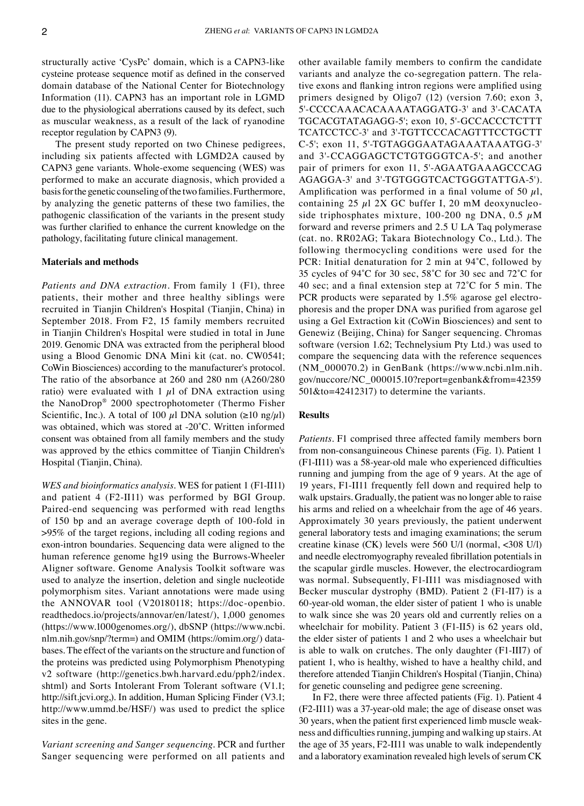structurally active 'CysPc' domain, which is a CAPN3‑like cysteine protease sequence motif as defined in the conserved domain database of the National Center for Biotechnology Information (11). CAPN3 has an important role in LGMD due to the physiological aberrations caused by its defect, such as muscular weakness, as a result of the lack of ryanodine receptor regulation by CAPN3 (9).

The present study reported on two Chinese pedigrees, including six patients affected with LGMD2A caused by CAPN3 gene variants. Whole‑exome sequencing (WES) was performed to make an accurate diagnosis, which provided a basis for the genetic counseling of the two families. Furthermore, by analyzing the genetic patterns of these two families, the pathogenic classification of the variants in the present study was further clarified to enhance the current knowledge on the pathology, facilitating future clinical management.

# **Materials and methods**

*Patients and DNA extraction.* From family 1 (F1), three patients, their mother and three healthy siblings were recruited in Tianjin Children's Hospital (Tianjin, China) in September 2018. From F2, 15 family members recruited in Tianjin Children's Hospital were studied in total in June 2019. Genomic DNA was extracted from the peripheral blood using a Blood Genomic DNA Mini kit (cat. no. CW0541; CoWin Biosciences) according to the manufacturer's protocol. The ratio of the absorbance at 260 and 280 nm (A260/280 ratio) were evaluated with 1  $\mu$ l of DNA extraction using the NanoDrop® 2000 spectrophotometer (Thermo Fisher Scientific, Inc.). A total of 100  $\mu$ l DNA solution (≥10 ng/ $\mu$ l) was obtained, which was stored at -20°C. Written informed consent was obtained from all family members and the study was approved by the ethics committee of Tianjin Children's Hospital (Tianjin, China).

*WES and bioinformatics analysis.* WES for patient 1 (F1-II11) and patient 4 (F2‑Ⅱ11) was performed by BGI Group. Paired‑end sequencing was performed with read lengths of 150 bp and an average coverage depth of 100‑fold in >95% of the target regions, including all coding regions and exon‑intron boundaries. Sequencing data were aligned to the human reference genome hg19 using the Burrows‑Wheeler Aligner software. Genome Analysis Toolkit software was used to analyze the insertion, deletion and single nucleotide polymorphism sites. Variant annotations were made using the ANNOVAR tool (V20180118; https://doc‑openbio. readthedocs.io/projects/annovar/en/latest/), 1,000 genomes (https://www.1000genomes.org/), dbSNP (https://www.ncbi. nlm.nih.gov/snp/?term=) and OMIM (https://omim.org/) data‑ bases. The effect of the variants on the structure and function of the proteins was predicted using Polymorphism Phenotyping v2 software (http://genetics.bwh.harvard.edu/pph2/index. shtml) and Sorts Intolerant From Tolerant software (V1.1; http://sift.jcvi.org, J. In addition, Human Splicing Finder (V3.1; http://www.ummd.be/HSF/) was used to predict the splice sites in the gene.

*Variant screening and Sanger sequencing.* PCR and further Sanger sequencing were performed on all patients and other available family members to confirm the candidate variants and analyze the co-segregation pattern. The relative exons and flanking intron regions were amplified using primers designed by Oligo7 (12) (version 7.60; exon 3, 5'‑CCCCAAACACAAAATAGGATG‑3' and 3'‑CACATA TGCACGTATAGAGG‑5'; exon 10, 5'‑GCCACCCTCTTT TCATCCTCC‑3' and 3'‑TGTTCCCACAGTTTCCTGCTT C‑5'; exon 11, 5'‑TGTAGGGAATAGAAATAAATGG‑3' and 3'-CCAGGAGCTCTGTGGGTCA-5'; and another pair of primers for exon 11, 5'‑AGAATGAAAGCCCAG AGAGGA-3' and 3'-TGTGGGTCACTGGGTATTGA-5'). Amplification was performed in a final volume of 50  $\mu$ l, containing 25  $\mu$ l 2X GC buffer I, 20 mM deoxynucleoside triphosphates mixture, 100-200 ng DNA, 0.5  $\mu$ M forward and reverse primers and 2.5 U LA Taq polymerase (cat. no. RR02AG; Takara Biotechnology Co., Ltd.). The following thermocycling conditions were used for the PCR: Initial denaturation for 2 min at 94˚C, followed by 35 cycles of 94˚C for 30 sec, 58˚C for 30 sec and 72˚C for 40 sec; and a final extension step at 72˚C for 5 min. The PCR products were separated by 1.5% agarose gel electrophoresis and the proper DNA was purified from agarose gel using a Gel Extraction kit (CoWin Biosciences) and sent to Genewiz (Beijing, China) for Sanger sequencing. Chromas software (version 1.62; Technelysium Pty Ltd.) was used to compare the sequencing data with the reference sequences (NM\_000070.2) in GenBank (https://www.ncbi.nlm.nih. gov/nuccore/NC\_000015.10?report=genbank&from=42359 501&to=42412317) to determine the variants.

#### **Results**

*Patients.* F1 comprised three affected family members born from non-consanguineous Chinese parents (Fig. 1). Patient 1 (F1‑Ⅱ11) was a 58‑year‑old male who experienced difficulties running and jumping from the age of 9 years. At the age of 19 years, F1‑II11 frequently fell down and required help to walk upstairs. Gradually, the patient was no longer able to raise his arms and relied on a wheelchair from the age of 46 years. Approximately 30 years previously, the patient underwent general laboratory tests and imaging examinations; the serum creatine kinase (CK) levels were 560 U/l (normal, <308 U/l) and needle electromyography revealed fibrillation potentials in the scapular girdle muscles. However, the electrocardiogram was normal. Subsequently, F1-II11 was misdiagnosed with Becker muscular dystrophy (BMD). Patient 2 (F1‑Ⅱ7) is a 60‑year‑old woman, the elder sister of patient 1 who is unable to walk since she was 20 years old and currently relies on a wheelchair for mobility. Patient 3 (F1-II5) is 62 years old, the elder sister of patients 1 and 2 who uses a wheelchair but is able to walk on crutches. The only daughter (F1‑Ⅲ7) of patient 1, who is healthy, wished to have a healthy child, and therefore attended Tianjin Children's Hospital (Tianjin, China) for genetic counseling and pedigree gene screening.

In F2, there were three affected patients (Fig. 1). Patient 4 (F2‑Ⅱ11) was a 37‑year‑old male; the age of disease onset was 30 years, when the patient first experienced limb muscle weak‑ ness and difficulties running, jumping and walking up stairs. At the age of 35 years, F2‑II11 was unable to walk independently and a laboratory examination revealed high levels of serum CK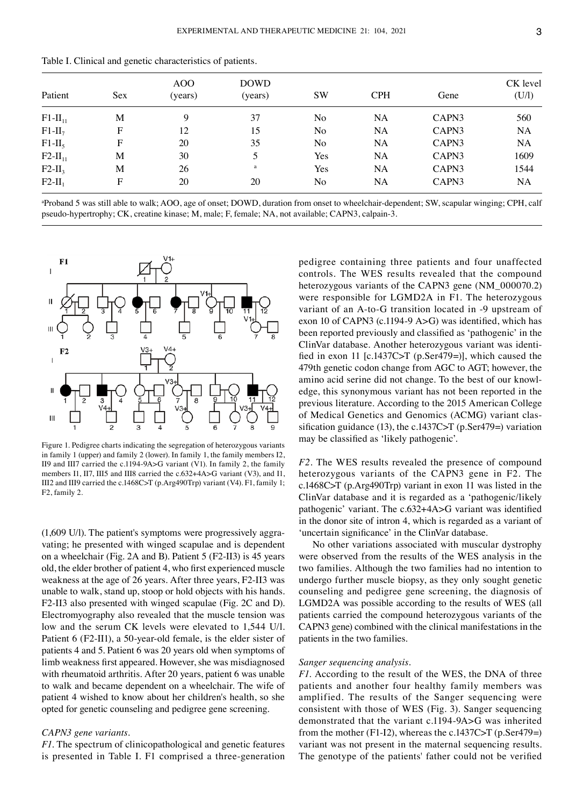| Patient      | Sex | AOO<br>(years) | <b>DOWD</b><br>(years) | <b>SW</b> | <b>CPH</b> | Gene  | CK level<br>(U/I) |
|--------------|-----|----------------|------------------------|-----------|------------|-------|-------------------|
| $F1-II_{11}$ | M   | 9              | 37                     | No        | NA         | CAPN3 | 560               |
| $F1-II7$     | F   | 12             | 15                     | No        | NA         | CAPN3 | <b>NA</b>         |
| $F1-II_5$    | F   | 20             | 35                     | No        | NA         | CAPN3 | NA                |
| $F2-II_{11}$ | M   | 30             | 5.                     | Yes       | NA         | CAPN3 | 1609              |
| $F2-II3$     | M   | 26             | a                      | Yes       | NA         | CAPN3 | 1544              |
| $F2-II_1$    | F   | 20             | 20                     | No        | NA         | CAPN3 | NA                |

Table Ⅰ. Clinical and genetic characteristics of patients.

a Proband 5 was still able to walk; AOO, age of onset; DOWD, duration from onset to wheelchair‑dependent; SW, scapular winging; CPH, calf pseudo-hypertrophy; CK, creatine kinase; M, male; F, female; NA, not available; CAPN3, calpain-3.



Figure 1. Pedigree charts indicating the segregation of heterozygous variants in family 1 (upper) and family 2 (lower). In family 1, the family members Ⅰ2, Ⅱ9 and Ⅲ7 carried the c.1194‑9A>G variant (V1). In family 2, the family members I1, II7, III5 and III8 carried the c.632+4A>G variant (V3), and I1, Ⅲ2 and Ⅲ9 carried the c.1468C>T (p.Arg490Trp) variant (V4). F1, family 1; F2, family 2.

 $(1,609 \text{ U/l})$ . The patient's symptoms were progressively aggravating; he presented with winged scapulae and is dependent on a wheelchair (Fig. 2A and B). Patient 5 (F2‑Ⅱ3) is 45 years old, the elder brother of patient 4, who first experienced muscle weakness at the age of 26 years. After three years, F2‑II3 was unable to walk, stand up, stoop or hold objects with his hands. F2‑II3 also presented with winged scapulae (Fig. 2C and D). Electromyography also revealed that the muscle tension was low and the serum CK levels were elevated to 1,544 U/l. Patient 6 (F2-II1), a 50-year-old female, is the elder sister of patients 4 and 5. Patient 6 was 20 years old when symptoms of limb weakness first appeared. However, she was misdiagnosed with rheumatoid arthritis. After 20 years, patient 6 was unable to walk and became dependent on a wheelchair. The wife of patient 4 wished to know about her children's health, so she opted for genetic counseling and pedigree gene screening.

# *CAPN3 gene variants.*

*F1.* The spectrum of clinicopathological and genetic features is presented in Table Ⅰ. F1 comprised a three‑generation pedigree containing three patients and four unaffected controls. The WES results revealed that the compound heterozygous variants of the CAPN3 gene (NM\_000070.2) were responsible for LGMD2A in F1. The heterozygous variant of an A‑to‑G transition located in ‑9 upstream of exon 10 of CAPN3 (c.1194-9 A>G) was identified, which has been reported previously and classified as 'pathogenic' in the ClinVar database. Another heterozygous variant was identified in exon 11 [c.1437C>T (p.Ser479=)], which caused the 479th genetic codon change from AGC to AGT; however, the amino acid serine did not change. To the best of our knowledge, this synonymous variant has not been reported in the previous literature. According to the 2015 American College of Medical Genetics and Genomics (ACMG) variant classification guidance (13), the c.1437C $\geq$ T (p.Ser479=) variation may be classified as 'likely pathogenic'.

*F2*. The WES results revealed the presence of compound heterozygous variants of the CAPN3 gene in F2. The c.1468C>T (p.Arg490Trp) variant in exon 11 was listed in the ClinVar database and it is regarded as a 'pathogenic/likely pathogenic' variant. The c.632+4A>G variant was identified in the donor site of intron 4, which is regarded as a variant of 'uncertain significance' in the ClinVar database.

No other variations associated with muscular dystrophy were observed from the results of the WES analysis in the two families. Although the two families had no intention to undergo further muscle biopsy, as they only sought genetic counseling and pedigree gene screening, the diagnosis of LGMD2A was possible according to the results of WES (all patients carried the compound heterozygous variants of the CAPN3 gene) combined with the clinical manifestations in the patients in the two families.

#### *Sanger sequencing analysis.*

*F1.* According to the result of the WES, the DNA of three patients and another four healthy family members was amplified. The results of the Sanger sequencing were consistent with those of WES (Fig. 3). Sanger sequencing demonstrated that the variant c.1194‑9A>G was inherited from the mother (F1-I2), whereas the c.1437C>T (p.Ser479=) variant was not present in the maternal sequencing results. The genotype of the patients' father could not be verified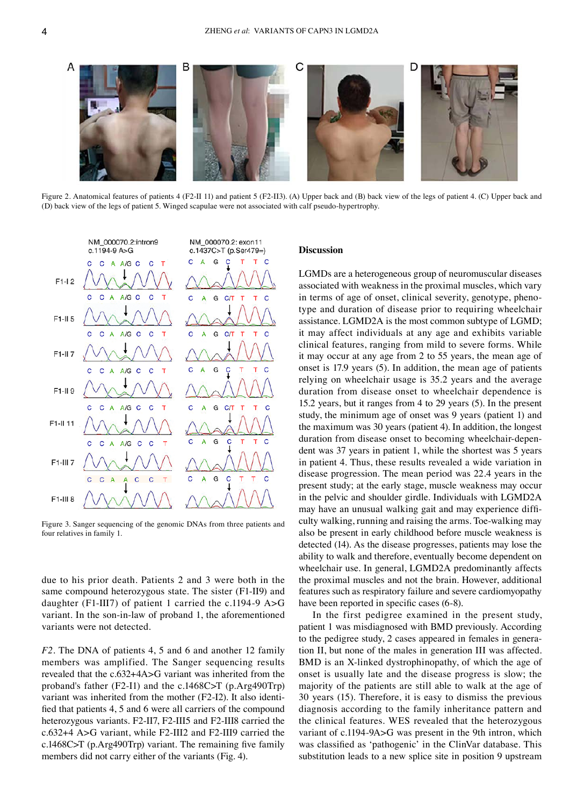

Figure 2. Anatomical features of patients 4 (F2‑Ⅱ 11) and patient 5 (F2‑II3). (A) Upper back and (B) back view of the legs of patient 4. (C) Upper back and (D) back view of the legs of patient 5. Winged scapulae were not associated with calf pseudo-hypertrophy.



Figure 3. Sanger sequencing of the genomic DNAs from three patients and four relatives in family 1.

due to his prior death. Patients 2 and 3 were both in the same compound heterozygous state. The sister (F1-II9) and daughter (F1‑Ⅲ7) of patient 1 carried the c.1194‑9 A>G variant. In the son-in-law of proband 1, the aforementioned variants were not detected.

*F2.* The DNA of patients 4, 5 and 6 and another 12 family members was amplified. The Sanger sequencing results revealed that the c.632+4A>G variant was inherited from the proband's father (F2‑Ⅰ1) and the c.1468C>T (p.Arg490Trp) variant was inherited from the mother (F2-I2). It also identified that patients 4, 5 and 6 were all carriers of the compound heterozygous variants. F2‑Ⅱ7, F2‑Ⅲ5 and F2‑Ⅲ8 carried the c.632+4 A>G variant, while F2‑Ⅲ2 and F2‑Ⅲ9 carried the c.1468C>T (p.Arg490Trp) variant. The remaining five family members did not carry either of the variants (Fig. 4).

## **Discussion**

LGMDs are a heterogeneous group of neuromuscular diseases associated with weakness in the proximal muscles, which vary in terms of age of onset, clinical severity, genotype, phenotype and duration of disease prior to requiring wheelchair assistance. LGMD2A is the most common subtype of LGMD; it may affect individuals at any age and exhibits variable clinical features, ranging from mild to severe forms. While it may occur at any age from 2 to 55 years, the mean age of onset is 17.9 years (5). In addition, the mean age of patients relying on wheelchair usage is 35.2 years and the average duration from disease onset to wheelchair dependence is 15.2 years, but it ranges from 4 to 29 years (5). In the present study, the minimum age of onset was 9 years (patient 1) and the maximum was 30 years (patient 4). In addition, the longest duration from disease onset to becoming wheelchair-dependent was 37 years in patient 1, while the shortest was 5 years in patient 4. Thus, these results revealed a wide variation in disease progression. The mean period was 22.4 years in the present study; at the early stage, muscle weakness may occur in the pelvic and shoulder girdle. Individuals with LGMD2A may have an unusual walking gait and may experience difficulty walking, running and raising the arms. Toe‑walking may also be present in early childhood before muscle weakness is detected (14). As the disease progresses, patients may lose the ability to walk and therefore, eventually become dependent on wheelchair use. In general, LGMD2A predominantly affects the proximal muscles and not the brain. However, additional features such as respiratory failure and severe cardiomyopathy have been reported in specific cases  $(6-8)$ .

In the first pedigree examined in the present study, patient 1 was misdiagnosed with BMD previously. According to the pedigree study, 2 cases appeared in females in generation II, but none of the males in generation III was affected. BMD is an X-linked dystrophinopathy, of which the age of onset is usually late and the disease progress is slow; the majority of the patients are still able to walk at the age of 30 years (15). Therefore, it is easy to dismiss the previous diagnosis according to the family inheritance pattern and the clinical features. WES revealed that the heterozygous variant of c.1194-9A>G was present in the 9th intron, which was classified as 'pathogenic' in the ClinVar database. This substitution leads to a new splice site in position 9 upstream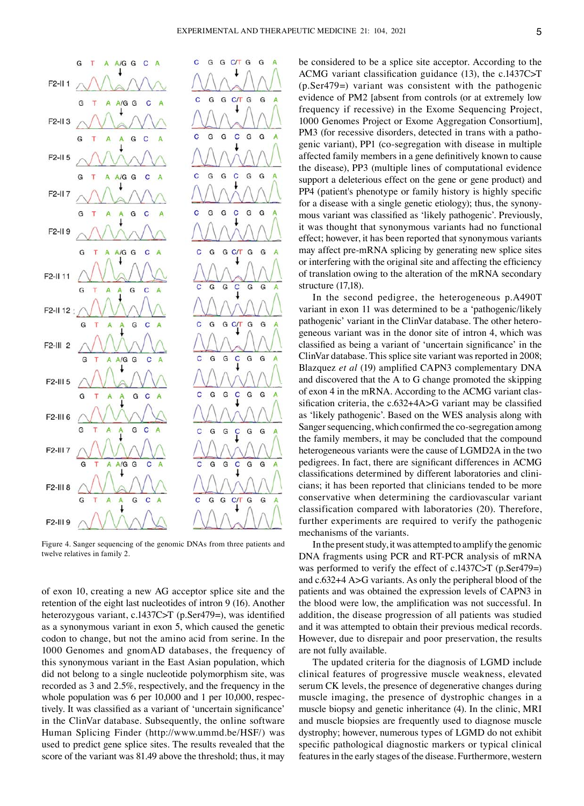

Figure 4. Sanger sequencing of the genomic DNAs from three patients and twelve relatives in family 2.

of exon 10, creating a new AG acceptor splice site and the retention of the eight last nucleotides of intron 9 (16). Another heterozygous variant, c.1437C>T (p.Ser479=), was identified as a synonymous variant in exon 5, which caused the genetic codon to change, but not the amino acid from serine. In the 1000 Genomes and gnomAD databases, the frequency of this synonymous variant in the East Asian population, which did not belong to a single nucleotide polymorphism site, was recorded as 3 and 2.5%, respectively, and the frequency in the whole population was 6 per 10,000 and 1 per 10,000, respectively. It was classified as a variant of 'uncertain significance' in the ClinVar database. Subsequently, the online software Human Splicing Finder (http://www.ummd.be/HSF/) was used to predict gene splice sites. The results revealed that the score of the variant was 81.49 above the threshold; thus, it may be considered to be a splice site acceptor. According to the ACMG variant classification guidance (13), the c.1437C>T (p.Ser479=) variant was consistent with the pathogenic evidence of PM2 [absent from controls (or at extremely low frequency if recessive) in the Exome Sequencing Project, 1000 Genomes Project or Exome Aggregation Consortium], PM3 (for recessive disorders, detected in trans with a pathogenic variant), PP1 (co‑segregation with disease in multiple affected family members in a gene definitively known to cause the disease), PP3 (multiple lines of computational evidence support a deleterious effect on the gene or gene product) and PP4 (patient's phenotype or family history is highly specific for a disease with a single genetic etiology); thus, the synonymous variant was classified as 'likely pathogenic'. Previously, it was thought that synonymous variants had no functional effect; however, it has been reported that synonymous variants may affect pre-mRNA splicing by generating new splice sites or interfering with the original site and affecting the efficiency of translation owing to the alteration of the mRNA secondary structure (17,18).

In the second pedigree, the heterogeneous p.A490T variant in exon 11 was determined to be a 'pathogenic/likely pathogenic' variant in the ClinVar database. The other heterogeneous variant was in the donor site of intron 4, which was classified as being a variant of 'uncertain significance' in the ClinVar database. This splice site variant was reported in 2008; Blazquez *et al* (19) amplified CAPN3 complementary DNA and discovered that the A to G change promoted the skipping of exon 4 in the mRNA. According to the ACMG variant classification criteria, the c.632+4A>G variant may be classified as 'likely pathogenic'. Based on the WES analysis along with Sanger sequencing, which confirmed the co-segregation among the family members, it may be concluded that the compound heterogeneous variants were the cause of LGMD2A in the two pedigrees. In fact, there are significant differences in ACMG classifications determined by different laboratories and clinicians; it has been reported that clinicians tended to be more conservative when determining the cardiovascular variant classification compared with laboratories (20). Therefore, further experiments are required to verify the pathogenic mechanisms of the variants.

In the present study, it was attempted to amplify the genomic DNA fragments using PCR and RT‑PCR analysis of mRNA was performed to verify the effect of c.1437C>T (p.Ser479=) and c.632+4 A>G variants. As only the peripheral blood of the patients and was obtained the expression levels of CAPN3 in the blood were low, the amplification was not successful. In addition, the disease progression of all patients was studied and it was attempted to obtain their previous medical records. However, due to disrepair and poor preservation, the results are not fully available.

The updated criteria for the diagnosis of LGMD include clinical features of progressive muscle weakness, elevated serum CK levels, the presence of degenerative changes during muscle imaging, the presence of dystrophic changes in a muscle biopsy and genetic inheritance (4). In the clinic, MRI and muscle biopsies are frequently used to diagnose muscle dystrophy; however, numerous types of LGMD do not exhibit specific pathological diagnostic markers or typical clinical features in the early stages of the disease. Furthermore, western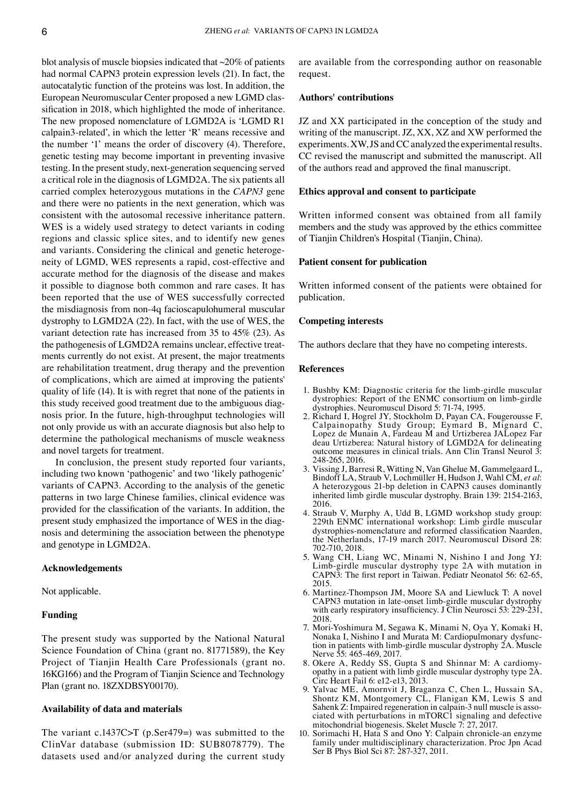blot analysis of muscle biopsies indicated that  $\sim$ 20% of patients had normal CAPN3 protein expression levels (21). In fact, the autocatalytic function of the proteins was lost. In addition, the European Neuromuscular Center proposed a new LGMD classification in 2018, which highlighted the mode of inheritance. The new proposed nomenclature of LGMD2A is 'LGMD R1 calpain3‑related', in which the letter 'R' means recessive and the number '1' means the order of discovery (4). Therefore, genetic testing may become important in preventing invasive testing. In the present study, next‑generation sequencing served a critical role in the diagnosis of LGMD2A. The six patients all carried complex heterozygous mutations in the *CAPN3* gene and there were no patients in the next generation, which was consistent with the autosomal recessive inheritance pattern. WES is a widely used strategy to detect variants in coding regions and classic splice sites, and to identify new genes and variants. Considering the clinical and genetic heterogeneity of LGMD, WES represents a rapid, cost-effective and accurate method for the diagnosis of the disease and makes it possible to diagnose both common and rare cases. It has been reported that the use of WES successfully corrected the misdiagnosis from non‑4q facioscapulohumeral muscular dystrophy to LGMD2A (22). In fact, with the use of WES, the variant detection rate has increased from 35 to 45% (23). As the pathogenesis of LGMD2A remains unclear, effective treatments currently do not exist. At present, the major treatments are rehabilitation treatment, drug therapy and the prevention of complications, which are aimed at improving the patients' quality of life (14). It is with regret that none of the patients in this study received good treatment due to the ambiguous diagnosis prior. In the future, high-throughput technologies will not only provide us with an accurate diagnosis but also help to determine the pathological mechanisms of muscle weakness and novel targets for treatment.

In conclusion, the present study reported four variants, including two known 'pathogenic' and two 'likely pathogenic' variants of CAPN3. According to the analysis of the genetic patterns in two large Chinese families, clinical evidence was provided for the classification of the variants. In addition, the present study emphasized the importance of WES in the diagnosis and determining the association between the phenotype and genotype in LGMD2A.

## **Acknowledgements**

Not applicable.

#### **Funding**

The present study was supported by the National Natural Science Foundation of China (grant no. 81771589), the Key Project of Tianjin Health Care Professionals (grant no. 16KG166) and the Program of Tianjin Science and Technology Plan (grant no. 18ZXDBSY00170).

# **Availability of data and materials**

The variant c.1437C>T (p.Ser479=) was submitted to the ClinVar database (submission ID: SUB8078779). The datasets used and/or analyzed during the current study are available from the corresponding author on reasonable request.

# **Authors' contributions**

JZ and XX participated in the conception of the study and writing of the manuscript. JZ, XX, XZ and XW performed the experiments. XW, JS and CC analyzed the experimental results. CC revised the manuscript and submitted the manuscript. All of the authors read and approved the final manuscript.

# **Ethics approval and consent to participate**

Written informed consent was obtained from all family members and the study was approved by the ethics committee of Tianjin Children's Hospital (Tianjin, China).

## **Patient consent for publication**

Written informed consent of the patients were obtained for publication.

## **Competing interests**

The authors declare that they have no competing interests.

#### **References**

- 1. Bushby KM: Diagnostic criteria for the limb‑girdle muscular dystrophies: Report of the ENMC consortium on limb‑girdle dystrophies. Neuromuscul Disord 5: 71‑74, 1995.
- 2. Richard I, Hogrel JY, Stockholm D, Payan CA, Fougerousse F, Calpainopathy Study Group; Eymard B, Mignard C, Lopez de Munain A, Fardeau M and Urtizberea JALopez Far deau Urtizberea: Natural history of LGMD2A for delineating outcome measures in clinical trials. Ann Clin Transl Neurol 3: 248‑265, 2016.
- 3. Vissing J, Barresi R, Witting N, Van Ghelue M, Gammelgaard L, Bindoff LA, Straub V, Lochmüller H, Hudson J, Wahl CM, *et al*: A heterozygous 21‑bp deletion in CAPN3 causes dominantly inherited limb girdle muscular dystrophy. Brain 139: 2154‑2163, 2016.
- 4. Straub V, Murphy A, Udd B, LGMD workshop study group: 229th ENMC international workshop: Limb girdle muscular dystrophies‑nomenclature and reformed classification Naarden, the Netherlands, 17‑19 march 2017. Neuromuscul Disord 28: 702‑710, 2018.
- 5. Wang CH, Liang WC, Minami N, Nishino I and Jong YJ: Limb‑girdle muscular dystrophy type 2A with mutation in CAPN3: The first report in Taiwan. Pediatr Neonatol 56: 62‑65, 2015.
- 6. Martinez‑Thompson JM, Moore SA and Liewluck T: A novel CAPN3 mutation in late‑onset limb‑girdle muscular dystrophy with early respiratory insufficiency. J Clin Neurosci 53: 229-231, 2018.
- 7. Mori-Yoshimura M, Segawa K, Minami N, Oya Y, Komaki H, Nonaka I, Nishino I and Murata M: Cardiopulmonary dysfunction in patients with limb-girdle muscular dystrophy  $2A$ . Muscle Nerve 55: 465‑469, 2017.
- 8. Okere A, Reddy SS, Gupta S and Shinnar M: A cardiomyopathy in a patient with limb girdle muscular dystrophy type 2A. Circ Heart Fail 6: e12‑e13, 2013.
- 9. Yalvac ME, Amornvit J, Braganza C, Chen L, Hussain SA, Shontz KM, Montgomery CL, Flanigan KM, Lewis S and Sahenk Z: Impaired regeneration in calpain-3 null muscle is associated with perturbations in mTORC1 signaling and defective mitochondrial biogenesis. Skelet Muscle 7: 27, 2017.
- 10. Sorimachi H, Hata S and Ono Y: Calpain chronicle‑an enzyme family under multidisciplinary characterization. Proc Jpn Acad Ser B Phys Biol Sci 87: 287‑327, 2011.